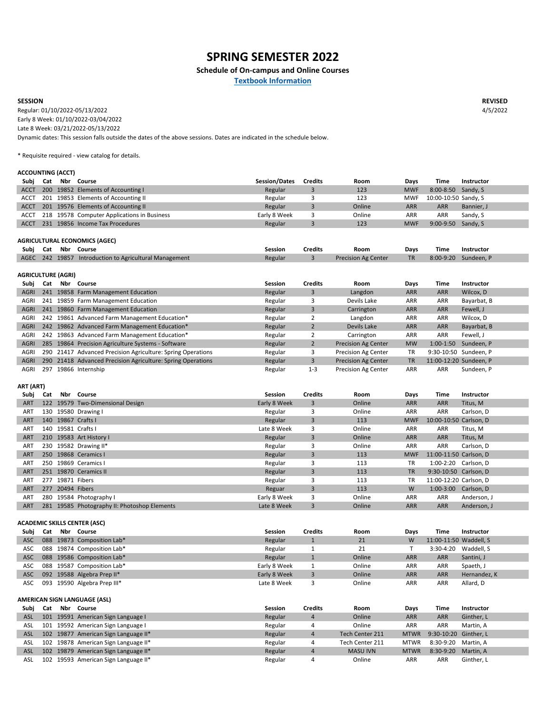**REVISED** 4/5/2022

| Subj | Cat | Nbr Course                                       | <b>Session/Dates</b> | <b>Credits</b> | Room   | Days       | Time                 | <b>Instructor</b> |
|------|-----|--------------------------------------------------|----------------------|----------------|--------|------------|----------------------|-------------------|
| ACCT |     | 200 19852 Elements of Accounting I               | Regular              | ັ              | 123    | <b>MWF</b> | 8:00-8:50 Sandy, S   |                   |
|      |     | ACCT 201 19853 Elements of Accounting II         | Regular              |                | 123    | <b>MWF</b> | 10:00-10:50 Sandy, S |                   |
| ACCT |     | 201 19576 Elements of Accounting II              | Regular              |                | Online | ARR        | <b>ARR</b>           | Bannier, J        |
|      |     | ACCT 218 19578 Computer Applications in Business | Early 8 Week         |                | Online | ARR        | <b>ARR</b>           | Sandy, S          |
| ACCT |     | 231 19856 Income Tax Procedures                  | Regular              |                | 123    | <b>MWF</b> | $9:00-9:50$ Sandy, S |                   |

| Subj Cat | Nbr Course                                             | Session | <b>Credits</b> | Room                       | Days      | Time | Instructor           |
|----------|--------------------------------------------------------|---------|----------------|----------------------------|-----------|------|----------------------|
|          | AGEC 242 19857 Introduction to Agricultural Management | Regular |                | <b>Precision Ag Center</b> | <b>TR</b> |      | 8:00-9:20 Sundeen, P |

| Subi        | Cat | Nbr l | Course                                                      | <b>Session</b> | <b>Credits</b> | Room                       | Days       | Time                   | <b>Instructor</b> |
|-------------|-----|-------|-------------------------------------------------------------|----------------|----------------|----------------------------|------------|------------------------|-------------------|
| <b>AGRI</b> | 241 |       | 19858 Farm Management Education                             | Regular        | 3              | Langdon                    | <b>ARR</b> | <b>ARR</b>             | Wilcox, D         |
| AGRI        |     |       | 241 19859 Farm Management Education                         | Regular        | 3              | Devils Lake                | <b>ARR</b> | <b>ARR</b>             | Bayarbat, B       |
| <b>AGRI</b> |     |       | 241 19860 Farm Management Education                         | Regular        |                | Carrington                 | <b>ARR</b> | <b>ARR</b>             | Fewell, J         |
| AGRI        |     |       | 242 19861 Advanced Farm Management Education*               | Regular        |                | Langdon                    | <b>ARR</b> | <b>ARR</b>             | Wilcox, D         |
| <b>AGRI</b> |     |       | 242 19862 Advanced Farm Management Education*               | Regular        |                | Devils Lake                | <b>ARR</b> | <b>ARR</b>             | Bayarbat, B       |
| <b>AGRI</b> |     |       | 242 19863 Advanced Farm Management Education*               | Regular        |                | Carrington                 | <b>ARR</b> | <b>ARR</b>             | Fewell, J         |
| <b>AGRI</b> |     |       | 285 19864 Precision Agriculture Systems - Software          | Regular        |                | <b>Precision Ag Center</b> | <b>MW</b>  | $1:00-1:50$            | Sundeen, P        |
| <b>AGRI</b> |     |       | 290 21417 Advanced Precision Agriculture: Spring Operations | Regular        |                | <b>Precision Ag Center</b> | <b>TR</b>  | 9:30-10:50 Sundeen, P  |                   |
| <b>AGRI</b> |     |       | 290 21418 Advanced Precision Agriculture: Spring Operations | Regular        | 3              | <b>Precision Ag Center</b> | ΤR         | 11:00-12:20 Sundeen, P |                   |
| AGRI        | 297 |       | 19866 Internship                                            | Regular        | $1 - 3$        | <b>Precision Ag Center</b> | <b>ARR</b> | <b>ARR</b>             | Sundeen, P        |

| ART (ART)  |     |                                              |                |                |        |            |                        |                   |
|------------|-----|----------------------------------------------|----------------|----------------|--------|------------|------------------------|-------------------|
| Subj       | Cat | Nbr Course                                   | <b>Session</b> | <b>Credits</b> | Room   | Days       | Time                   | <b>Instructor</b> |
| <b>ART</b> |     | 122 19579 Two-Dimensional Design             | Early 8 Week   | 3              | Online | <b>ARR</b> | <b>ARR</b>             | Titus, M          |
| <b>ART</b> | 130 | 19580 Drawing I                              | Regular        | 3              | Online | <b>ARR</b> | ARR                    | Carlson, D        |
| <b>ART</b> |     | 140 19867 Crafts I                           | Regular        | 3              | 113    | <b>MWF</b> | 10:00-10:50 Carlson, D |                   |
| <b>ART</b> | 140 | 19581 Crafts I                               | Late 8 Week    | 3              | Online | <b>ARR</b> | ARR                    | Titus, M          |
| <b>ART</b> |     | 210 19583 Art History I                      | Regular        | 3              | Online | <b>ARR</b> | <b>ARR</b>             | Titus, M          |
| <b>ART</b> |     | 230 19582 Drawing II*                        | Regular        | 3              | Online | <b>ARR</b> | ARR                    | Carlson, D        |
| <b>ART</b> |     | 250 19868 Ceramics I                         | Regular        | 3              | 113    | <b>MWF</b> | 11:00-11:50 Carlson, D |                   |
| <b>ART</b> | 250 | 19869 Ceramics I                             | Regular        | 3              | 113    | <b>TR</b>  | 1:00-2:20 Carlson, D   |                   |
| <b>ART</b> |     | 251 19870 Ceramics II                        | Regular        | 3              | 113    | <b>TR</b>  | 9:30-10:50 Carlson, D  |                   |
| <b>ART</b> | 277 | 19871 Fibers                                 | Regular        | 3              | 113    | <b>TR</b>  | 11:00-12:20 Carlson, D |                   |
| <b>ART</b> | 277 | 20494 Fibers                                 | Reguar         | 3              | 113    | W          | 1:00-3:00 Carlson, D   |                   |
| <b>ART</b> | 280 | 19584 Photography I                          | Early 8 Week   | 3              | Online | <b>ARR</b> | <b>ARR</b>             | Anderson, J       |
| <b>ART</b> |     | 281 19585 Photography II: Photoshop Elements | Late 8 Week    | 3              | Online | <b>ARR</b> | <b>ARR</b>             | Anderson, J       |

| Subj       | Cat | Nbr Course                           | <b>Session</b> | <b>Credits</b> | Room            | Days        | Time                   | <b>Instructor</b> |
|------------|-----|--------------------------------------|----------------|----------------|-----------------|-------------|------------------------|-------------------|
| ASC        | 088 | 19873 Composition Lab*               | Regular        |                | 21              | W           | 11:00-11:50 Waddell, S |                   |
| ASC        | 088 | 19874 Composition Lab*               | Regular        |                | 21              |             | $3:30-4:20$            | Waddell, S        |
| <b>ASC</b> | 088 | 19586 Composition Lab*               | Regular        |                | Online          | <b>ARR</b>  | <b>ARR</b>             | Santini, J        |
| ASC        | 088 | 19587 Composition Lab*               | Early 8 Week   |                | Online          | ARR         | <b>ARR</b>             | Spaeth, J         |
| ASC        | 092 | 19588 Algebra Prep II*               | Early 8 Week   | 3              | Online          | <b>ARR</b>  | <b>ARR</b>             | Hernandez, K      |
| ASC        | 093 | 19590 Algebra Prep III*              | Late 8 Week    | 3              | Online          | <b>ARR</b>  | ARR                    | Allard, D         |
|            |     |                                      |                |                |                 |             |                        |                   |
|            |     |                                      |                |                |                 |             |                        |                   |
|            |     | <b>AMERICAN SIGN LANGUAGE (ASL)</b>  |                |                |                 |             |                        |                   |
| Subj       | Cat | Nbr Course                           | <b>Session</b> | <b>Credits</b> | Room            | Days        | Time                   | <b>Instructor</b> |
| ASL        |     | 101 19591 American Sign Language I   | Regular        | $\overline{4}$ | Online          | ARR.        | <b>ARR</b>             | Ginther, L        |
| ASL        |     | 101 19592 American Sign Language I   | Regular        | 4              | Online          | ARR         | ARR                    | Martin, A         |
| ASL        |     | 102 19877 American Sign Language II* | Regular        | $\overline{4}$ | Tech Center 211 | <b>MTWR</b> | 9:30-10:20 Ginther, L  |                   |
| ASL        |     | 102 19878 American Sign Language II* | Regular        | 4              | Tech Center 211 | <b>MTWR</b> | 8:30-9:20              | Martin, A         |
| ASL        |     | 102 19879 American Sign Language II* | Regular        | $\overline{4}$ | <b>MASU IVN</b> | <b>MTWR</b> | 8:30-9:20              | Martin, A         |

#### **AGRICULTURE (AGRI)**

Early 8 Week: 01/10/2022-03/04/2022 Late 8 Week: 03/21/2022-05/13/2022 Dynamic dates: This session falls outside the dates of the above sessions. Dates are indicated in the schedule below. Regular: 01/10/2022-05/13/2022

#### **AGRICULTURAL ECONOMICS (AGEC)**

**Textbook Information**

# **SPRING SEMESTER 2022**

# **Schedule of On-campus and Online Courses**

#### **ACCOUNTING (ACCT)**

\* Requisite required - view catalog for details.

#### **SESSION**

# **ACADEMIC SKILLS CENTER (ASC)**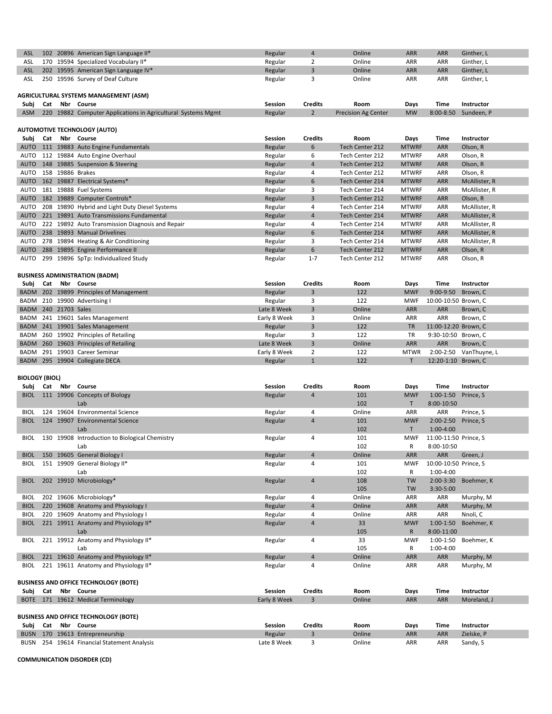| <b>ASL</b>  | <b>102</b> | 20896 American Sign Language II*                         | Regular        | $\sqrt{4}$     | Online                     | <b>ARR</b>   | <b>ARR</b>  | Ginther, L        |
|-------------|------------|----------------------------------------------------------|----------------|----------------|----------------------------|--------------|-------------|-------------------|
| ASL         |            | 170 19594 Specialized Vocabulary II*                     | Regular        | $\overline{2}$ | Online                     | <b>ARR</b>   | <b>ARR</b>  | Ginther, L        |
| <b>ASL</b>  | 202        | 19595 American Sign Language IV*                         | Regular        | $\mathbf{3}$   | Online                     | <b>ARR</b>   | <b>ARR</b>  | Ginther, L        |
| <b>ASL</b>  | 250        | 19596 Survey of Deaf Culture                             | Regular        | 3              | Online                     | <b>ARR</b>   | ARR         | Ginther, L        |
|             |            |                                                          |                |                |                            |              |             |                   |
|             |            | AGRICULTURAL SYSTEMS MANAGEMENT (ASM)                    |                |                |                            |              |             |                   |
| Subj        | Cat        | Nbr Course                                               | <b>Session</b> | <b>Credits</b> | <b>Room</b>                | <b>Days</b>  | <b>Time</b> | <b>Instructor</b> |
| <b>ASM</b>  | 220        | 19882 Computer Applications in Agricultural Systems Mgmt | Regular        | $\overline{2}$ | <b>Precision Ag Center</b> | <b>MW</b>    | 8:00-8:50   | Sundeen, P        |
|             |            |                                                          |                |                |                            |              |             |                   |
|             |            | <b>AUTOMOTIVE TECHNOLOGY (AUTO)</b>                      |                |                |                            |              |             |                   |
| Subj        | Cat        | Nbr Course                                               | <b>Session</b> | <b>Credits</b> | <b>Room</b>                | Days         | <b>Time</b> | <b>Instructor</b> |
| <b>AUTO</b> | 111        | 19883 Auto Engine Fundamentals                           | Regular        | 6              | Tech Center 212            | <b>MTWRF</b> | <b>ARR</b>  | Olson, R          |
| <b>AUTO</b> | 112        | 19884 Auto Engine Overhaul                               | Regular        | 6              | Tech Center 212            | <b>MTWRF</b> | <b>ARR</b>  | Olson, R          |
| <b>AUTO</b> | 148        | 19885 Suspension & Steering                              | Regular        | $\overline{4}$ | Tech Center 212            | <b>MTWRF</b> | <b>ARR</b>  | Olson, R          |
| <b>AUTO</b> | 158        | 19886 Brakes                                             | Regular        | 4              | Tech Center 212            | <b>MTWRF</b> | <b>ARR</b>  | Olson, R          |
| <b>AUTO</b> | 162        | 19887 Electrical Systems*                                | Regular        | 6              | Tech Center 214            | <b>MTWRF</b> | <b>ARR</b>  | McAllister, R     |
| <b>AUTO</b> | 181        | 19888 Fuel Systems                                       | Regular        | 3              | Tech Center 214            | <b>MTWRF</b> | <b>ARR</b>  | McAllister, R     |
| <b>AUTO</b> | 182        | 19889 Computer Controls*                                 | Regular        | $\overline{3}$ | Tech Center 212            | <b>MTWRF</b> | <b>ARR</b>  | Olson, R          |
| <b>AUTO</b> | 208        | 19890 Hybrid and Light Duty Diesel Systems               | Regular        | 4              | Tech Center 214            | <b>MTWRF</b> | <b>ARR</b>  | McAllister, R     |
| <b>AUTO</b> | 221        | 19891 Auto Transmissions Fundamental                     | Regular        | 4              | Tech Center 214            | <b>MTWRF</b> | <b>ARR</b>  | McAllister, R     |
| <b>AUTO</b> | 222        | 19892 Auto Transmission Diagnosis and Repair             | Regular        | 4              | Tech Center 214            | <b>MTWRF</b> | <b>ARR</b>  | McAllister, R     |
| <b>AUTO</b> | 238        | 19893 Manual Drivelines                                  | Regular        | 6              | Tech Center 214            | <b>MTWRF</b> | <b>ARR</b>  | McAllister, R     |
| <b>AUTO</b> | 278        | 19894 Heating & Air Conditioning                         | Regular        | 3              | Tech Center 214            | <b>MTWRF</b> | <b>ARR</b>  | McAllister, R     |
| <b>AUTO</b> | 288        | 19895 Engine Performance II                              | Regular        | 6              | Tech Center 212            | <b>MTWRF</b> | <b>ARR</b>  | Olson, R          |
| AUTO        |            | 299 19896 SpTp: Individualized Study                     | Regular        | $1 - 7$        | Tech Center 212            | <b>MTWRF</b> | <b>ARR</b>  | Olson, R          |

| Subj Cat             |  | Nbr Course                              | <b>Session</b> | <b>Credits</b> | Room   | <b>Days</b> | Time                 | Instructor             |
|----------------------|--|-----------------------------------------|----------------|----------------|--------|-------------|----------------------|------------------------|
|                      |  | BADM 202 19899 Principles of Management | Regular        | 3              | 122    | <b>MWF</b>  | 9:00-9:50 Brown, C   |                        |
|                      |  | BADM 210 19900 Advertising I            | Regular        |                | 122    | <b>MWF</b>  | 10:00-10:50 Brown, C |                        |
| BADM 240 21703 Sales |  |                                         | Late 8 Week    |                | Online | <b>ARR</b>  | <b>ARR</b>           | Brown, C               |
|                      |  | BADM 241 19601 Sales Management         | Early 8 Week   |                | Online | ARR.        | <b>ARR</b>           | Brown, C               |
|                      |  | BADM 241 19901 Sales Management         | Regular        | 3              | 122    | <b>TR</b>   | 11:00-12:20 Brown, C |                        |
|                      |  | BADM 260 19902 Principles of Retailing  | Regular        |                | 122    | <b>TR</b>   | 9:30-10:50 Brown, C  |                        |
|                      |  | BADM 260 19603 Principles of Retailing  | Late 8 Week    |                | Online | <b>ARR</b>  | <b>ARR</b>           | Brown, C               |
|                      |  | BADM 291 19903 Career Seminar           | Early 8 Week   |                | 122    | <b>MTWR</b> |                      | 2:00-2:50 VanThuyne, L |
|                      |  | BADM 295 19904 Collegiate DECA          | Regular        |                | 122    |             | 12:20-1:10 Brown, C  |                        |

| Subj        | Cat | Nbr Course                                     | <b>Session</b> | <b>Credits</b>          | Room        | <b>Days</b>  | <b>Time</b>           | Instructor        |
|-------------|-----|------------------------------------------------|----------------|-------------------------|-------------|--------------|-----------------------|-------------------|
| <b>BIOL</b> |     | 111 19906 Concepts of Biology                  | Regular        | 4                       | 101         | <b>MWF</b>   | $1:00-1:50$           | Prince, S         |
|             |     | Lab                                            |                |                         | 102         | T.           | 8:00-10:50            |                   |
| <b>BIOL</b> |     | 124 19604 Environmental Science                | Regular        | 4                       | Online      | <b>ARR</b>   | <b>ARR</b>            | Prince, S         |
| <b>BIOL</b> |     | 124 19907 Environmental Science                | Regular        | 4                       | 101         | <b>MWF</b>   | $2:00-2:50$           | Prince, S         |
|             |     | Lab                                            |                |                         | 102         | $\mathsf{T}$ | $1:00-4:00$           |                   |
| <b>BIOL</b> |     | 130 19908 Introduction to Biological Chemistry | Regular        | 4                       | 101         | <b>MWF</b>   | 11:00-11:50 Prince, S |                   |
|             |     | Lab                                            |                |                         | 102         | R            | 8:00-10:50            |                   |
| <b>BIOL</b> |     | 150 19605 General Biology I                    | Regular        | $\overline{4}$          | Online      | <b>ARR</b>   | <b>ARR</b>            | Green, J          |
| <b>BIOL</b> |     | 151 19909 General Biology II*                  | Regular        | 4                       | 101         | <b>MWF</b>   | 10:00-10:50 Prince, S |                   |
|             |     | Lab                                            |                |                         | 102         | R            | 1:00-4:00             |                   |
| <b>BIOL</b> |     | 202 19910 Microbiology*                        | Regular        | $\overline{\mathbf{4}}$ | 108         | TW           | $2:00 - 3:30$         | Boehmer, K        |
|             |     |                                                |                |                         | 105         | <b>TW</b>    | 3:30-5:00             |                   |
| <b>BIOL</b> |     | 202 19606 Microbiology*                        | Regular        | 4                       | Online      | <b>ARR</b>   | ARR                   | Murphy, M         |
| <b>BIOL</b> |     | 220 19608 Anatomy and Physiology I             | Regular        | 4                       | Online      | <b>ARR</b>   | <b>ARR</b>            | Murphy, M         |
| <b>BIOL</b> |     | 220 19609 Anatomy and Physiology I             | Regular        | 4                       | Online      | <b>ARR</b>   | <b>ARR</b>            | Nnoli, C          |
| <b>BIOL</b> |     | 221 19911 Anatomy and Physiology II*           | Regular        | 4                       | 33          | <b>MWF</b>   | $1:00-1:50$           | Boehmer, K        |
|             |     | Lab                                            |                |                         | 105         | R.           | 8:00-11:00            |                   |
| <b>BIOL</b> |     | 221 19912 Anatomy and Physiology II*           | Regular        | 4                       | 33          | <b>MWF</b>   | $1:00-1:50$           | Boehmer, K        |
|             |     | Lab                                            |                |                         | 105         | R            | 1:00-4:00             |                   |
| <b>BIOL</b> |     | 221 19610 Anatomy and Physiology II*           | Regular        | $\overline{4}$          | Online      | <b>ARR</b>   | ARR                   | Murphy, M         |
| <b>BIOL</b> |     | 221 19611 Anatomy and Physiology II*           | Regular        | 4                       | Online      | <b>ARR</b>   | <b>ARR</b>            | Murphy, M         |
|             |     |                                                |                |                         |             |              |                       |                   |
|             |     | <b>BUSINESS AND OFFICE TECHNOLOGY (BOTE)</b>   |                |                         |             |              |                       |                   |
|             |     | Subj Cat Nbr Course                            | <b>Session</b> | <b>Credits</b>          | <b>Room</b> | Days         | Time                  | <b>Instructor</b> |
|             |     | BOTE 171 19612 Medical Terminology             | Early 8 Week   | $\mathbf{3}$            | Online      | <b>ARR</b>   | <b>ARR</b>            | Moreland, J       |
|             |     |                                                |                |                         |             |              |                       |                   |
|             |     | <b>BUSINESS AND OFFICE TECHNOLOGY (BOTE)</b>   |                |                         |             |              |                       |                   |
|             |     | Subj Cat Nbr Course                            | <b>Session</b> | <b>Credits</b>          | Room        | <b>Days</b>  | Time                  | <b>Instructor</b> |
|             |     | BUSN 170 19613 Entrepreneurship                | Regular        | $\overline{3}$          | Online      | <b>ARR</b>   | <b>ARR</b>            | Zielske, P        |
|             |     | BUSN 254 19614 Financial Statement Analysis    | Late 8 Week    | 3                       | Online      | <b>ARR</b>   | <b>ARR</b>            | Sandy, S          |

# **BUSINESS ADMINISTRATION (BADM)**

**BIOLOGY (BIOL)**

## **COMMUNICATION DISORDER (CD)**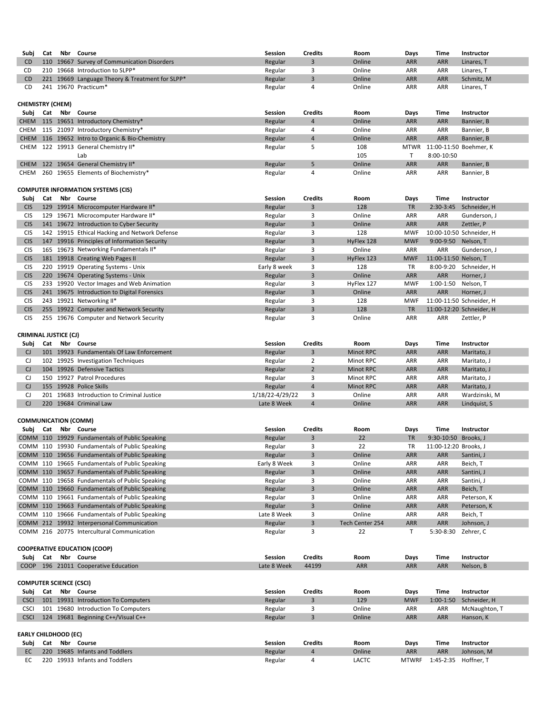| Subj        | Cat | Nbr Course                                      | <b>Session</b> | <b>Credits</b> | Room   | Days       | <b>Time</b>                 | <b>Instructor</b> |
|-------------|-----|-------------------------------------------------|----------------|----------------|--------|------------|-----------------------------|-------------------|
|             |     | CHEM 115 19651 Introductory Chemistry*          | Regular        | 4              | Online | <b>ARR</b> | <b>ARR</b>                  | Bannier, B        |
|             |     | CHEM 115 21097 Introductory Chemistry*          | Regular        | 4              | Online | <b>ARR</b> | <b>ARR</b>                  | Bannier, B        |
|             |     | CHEM 116 19652 Intro to Organic & Bio-Chemistry | Regular        | 4              | Online | <b>ARR</b> | <b>ARR</b>                  | Bannier, B        |
|             |     | CHEM 122 19913 General Chemistry II*            | Regular        |                | 108    |            | MTWR 11:00-11:50 Boehmer, K |                   |
|             |     | Lab                                             |                |                | 105    |            | 8:00-10:50                  |                   |
|             |     | CHEM 122 19654 General Chemistry II*            | Regular        |                | Online | <b>ARR</b> | <b>ARR</b>                  | Bannier, B        |
| <b>CHEM</b> |     | 260 19655 Elements of Biochemistry*             | Regular        | 4              | Online | ARR        | <b>ARR</b>                  | Bannier, B        |

| Subj       | Cat | Nbr | Course                                      | <b>Session</b> | <b>Credits</b> | Room       | Days       | Time                  | <b>Instructor</b>        |
|------------|-----|-----|---------------------------------------------|----------------|----------------|------------|------------|-----------------------|--------------------------|
| <b>CIS</b> | 129 |     | 19914 Microcomputer Hardware II*            | Regular        | 3              | 128        | <b>TR</b>  | $2:30-3:45$           | Schneider, H             |
| <b>CIS</b> | 129 |     | 19671 Microcomputer Hardware II*            | Regular        | 3              | Online     | <b>ARR</b> | ARR                   | Gunderson, J             |
| <b>CIS</b> |     |     | 141 19672 Introduction to Cyber Security    | Regular        | 3              | Online     | <b>ARR</b> | <b>ARR</b>            | Zettler, P               |
| <b>CIS</b> | 142 |     | 19915 Ethical Hacking and Network Defense   | Regular        | 3              | 128        | <b>MWF</b> |                       | 10:00-10:50 Schneider, H |
| <b>CIS</b> | 147 |     | 19916 Principles of Information Security    | Regular        | 3              | HyFlex 128 | <b>MWF</b> | 9:00-9:50 Nelson, T   |                          |
| <b>CIS</b> | 165 |     | 19673 Networking Fundamentals II*           | Regular        | 3              | Online     | <b>ARR</b> | ARR                   | Gunderson, J             |
| <b>CIS</b> |     |     | 181 19918 Creating Web Pages II             | Regular        | 3              | HyFlex 123 | <b>MWF</b> | 11:00-11:50 Nelson, T |                          |
| <b>CIS</b> | 220 |     | 19919 Operating Systems - Unix              | Early 8 week   | 3              | 128        | <b>TR</b>  | 8:00-9:20             | Schneider, H             |
| <b>CIS</b> |     |     | 220 19674 Operating Systems - Unix          | Regular        | 3              | Online     | <b>ARR</b> | <b>ARR</b>            | Horner, J                |
| <b>CIS</b> | 233 |     | 19920 Vector Images and Web Animation       | Regular        | 3              | HyFlex 127 | <b>MWF</b> | $1:00-1:50$           | Nelson, T                |
| <b>CIS</b> |     |     | 241 19675 Introduction to Digital Forensics | Regular        | 3              | Online     | <b>ARR</b> | <b>ARR</b>            | Horner, J                |
| <b>CIS</b> | 243 |     | 19921 Networking II*                        | Regular        | 3              | 128        | <b>MWF</b> |                       | 11:00-11:50 Schneider, H |
| <b>CIS</b> |     |     | 255 19922 Computer and Network Security     | Regular        | 3              | 128        | <b>TR</b>  |                       | 11:00-12:20 Schneider, H |
| <b>CIS</b> | 255 |     | 19676 Computer and Network Security         | Regular        | 3              | Online     | <b>ARR</b> | ARR                   | Zettler, P               |
|            |     |     |                                             |                |                |            |            |                       |                          |

| Subj                    | Cat  | Nbr | <b>Course</b>                               | <b>Session</b> | <b>Credits</b> | Room   | <b>Days</b> | Time       | <b>Instructor</b> |
|-------------------------|------|-----|---------------------------------------------|----------------|----------------|--------|-------------|------------|-------------------|
| CD                      | 110  |     | 19667 Survey of Communication Disorders     | Regular        |                | Online | <b>ARR</b>  | <b>ARR</b> | Linares, T        |
| CD                      | 210- |     | 19668 Introduction to SLPP*                 | Regular        |                | Online | ARR         | ARR        | Linares, T        |
| CD                      | 221  |     | 19669 Language Theory & Treatment for SLPP* | Regular        |                | Online | <b>ARR</b>  | <b>ARR</b> | Schmitz, M        |
| CD                      | 241  |     | 19670 Practicum*                            | Regular        |                | Online | ARR         | ARR        | Linares, T        |
| <b>CHEMISTRY (CHEM)</b> |      |     |                                             |                |                |        |             |            |                   |

| Subj | Cat  | Nbr l | Course                                 | <b>Session</b>  | <b>Credits</b> | Room             | <b>Days</b> | Time       | <b>Instructor</b> |
|------|------|-------|----------------------------------------|-----------------|----------------|------------------|-------------|------------|-------------------|
|      | 101  |       | 19923 Fundamentals Of Law Enforcement  | Regular         |                | Minot RPC        | <b>ARR</b>  | <b>ARR</b> | Maritato, J       |
|      |      |       | 102 19925 Investigation Techniques     | Regular         |                | Minot RPC        | ARR         | ARR        | Maritato, J       |
|      | 104  |       | 19926 Defensive Tactics                | Regular         |                | <b>Minot RPC</b> | <b>ARR</b>  | <b>ARR</b> | Maritato, J       |
|      | 150  |       | 19927 Patrol Procedures                | Regular         |                | Minot RPC        | ARR         | ARR        | Maritato, J       |
|      |      |       | 155 19928 Police Skills                | Regular         |                | <b>Minot RPC</b> | <b>ARR</b>  | <b>ARR</b> | Maritato, J       |
|      | 201  |       | 19683 Introduction to Criminal Justice | 1/18/22-4/29/22 |                | Online           | ARR         | ARR        | Wardzinski, M     |
|      | 220. |       | 19684 Criminal Law                     | Late 8 Week     |                | Online           | <b>ARR</b>  | <b>ARR</b> | Lindquist, S      |

| Subj | Cat | Nbr | Course                                         | <b>Session</b> | <b>Credits</b> | Room            | <b>Days</b> | Time                  | <b>Instructor</b> |
|------|-----|-----|------------------------------------------------|----------------|----------------|-----------------|-------------|-----------------------|-------------------|
|      |     |     | COMM 110 19929 Fundamentals of Public Speaking | Regular        | 3              | 22              | <b>TR</b>   | 9:30-10:50 Brooks, J  |                   |
|      |     |     | COMM 110 19930 Fundamentals of Public Speaking | Regular        |                | 22              | TR          | 11:00-12:20 Brooks, J |                   |
|      |     |     | COMM 110 19656 Fundamentals of Public Speaking | Regular        | 3              | Online          | <b>ARR</b>  | <b>ARR</b>            | Santini, J        |
|      |     |     | COMM 110 19665 Fundamentals of Public Speaking | Early 8 Week   |                | Online          | ARR.        | ARR                   | Beich, T          |
|      |     |     | COMM 110 19657 Fundamentals of Public Speaking | Regular        | -5             | Online          | <b>ARR</b>  | <b>ARR</b>            | Santini, J        |
|      |     |     | COMM 110 19658 Fundamentals of Public Speaking | Regular        |                | Online          | ARR.        | ARR                   | Santini, J        |
|      |     |     | COMM 110 19660 Fundamentals of Public Speaking | Regular        | 3              | Online          | <b>ARR</b>  | <b>ARR</b>            | Beich, T          |
|      |     |     | COMM 110 19661 Fundamentals of Public Speaking | Regular        | 3              | Online          | <b>ARR</b>  | <b>ARR</b>            | Peterson, K       |
|      |     |     | COMM 110 19663 Fundamentals of Public Speaking | Regular        | 3              | Online          | <b>ARR</b>  | <b>ARR</b>            | Peterson, K       |
|      |     |     | COMM 110 19666 Fundamentals of Public Speaking | Late 8 Week    | 3              | Online          | ARR.        | <b>ARR</b>            | Beich, T          |
|      |     |     | COMM 212 19932 Interpersonal Communication     | Regular        | 3              | Tech Center 254 | <b>ARR</b>  | <b>ARR</b>            | Johnson, J        |
|      |     |     | COMM 216 20775 Intercultural Communication     | Regular        |                | 22              |             | 5:30-8:30             | Zehrer, C         |

|                                | <b>COOPERATIVE EDUCATION (COOP)</b> |  |                                     |                |                |              |              |               |                   |  |  |
|--------------------------------|-------------------------------------|--|-------------------------------------|----------------|----------------|--------------|--------------|---------------|-------------------|--|--|
| Subj                           | Cat                                 |  | Nbr Course                          | <b>Session</b> | <b>Credits</b> | Room         | Days         | Time          | <b>Instructor</b> |  |  |
| <b>COOP</b>                    |                                     |  | 196 21011 Cooperative Education     | Late 8 Week    | 44199          | <b>ARR</b>   | <b>ARR</b>   | <b>ARR</b>    | Nelson, B         |  |  |
|                                |                                     |  |                                     |                |                |              |              |               |                   |  |  |
| <b>COMPUTER SCIENCE (CSCI)</b> |                                     |  |                                     |                |                |              |              |               |                   |  |  |
| Subj                           | Cat                                 |  | Nbr Course                          | <b>Session</b> | <b>Credits</b> | Room         | Days         | Time          | <b>Instructor</b> |  |  |
| <b>CSCI</b>                    |                                     |  | 101 19931 Introduction To Computers | Regular        | 3              | 129          | <b>MWF</b>   | $1:00-1:50$   | Schneider, H      |  |  |
| <b>CSCI</b>                    |                                     |  | 101 19680 Introduction To Computers | Regular        | 3              | Online       | <b>ARR</b>   | <b>ARR</b>    | McNaughton, T     |  |  |
| <b>CSCI</b>                    |                                     |  | 124 19681 Beginning C++/Visual C++  | Regular        | 3              | Online       | <b>ARR</b>   | <b>ARR</b>    | Hanson, K         |  |  |
|                                |                                     |  |                                     |                |                |              |              |               |                   |  |  |
| <b>EARLY CHILDHOOD (EC)</b>    |                                     |  |                                     |                |                |              |              |               |                   |  |  |
| Subj                           | Cat                                 |  | Nbr Course                          | Session        | <b>Credits</b> | Room         | <b>Days</b>  | Time          | <b>Instructor</b> |  |  |
| EC.                            | <b>220</b>                          |  | 19685 Infants and Toddlers          | Regular        | 4              | Online       | <b>ARR</b>   | <b>ARR</b>    | Johnson, M        |  |  |
| EC.                            | 220                                 |  | 19933 Infants and Toddlers          | Regular        | 4              | <b>LACTC</b> | <b>MTWRF</b> | $1:45 - 2:35$ | Hoffner, T        |  |  |
|                                |                                     |  |                                     |                |                |              |              |               |                   |  |  |

**COMMUNICATION (COMM)**

# **CRIMINAL JUSTICE (CJ)**

## **COMPUTER INFORMATION SYSTEMS (CIS)**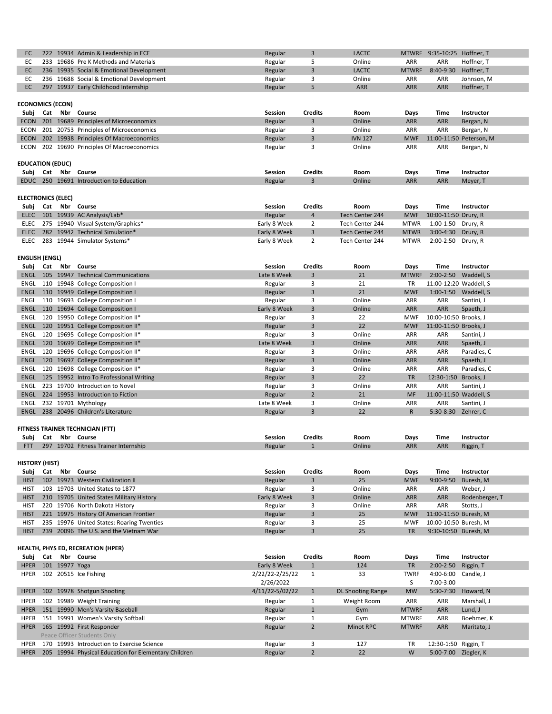| 222 19934 Admin & Leadership in ECE      | Regular | <b>LACTC</b> |              | MTWRF 9:35-10:25 Hoffner, T |            |
|------------------------------------------|---------|--------------|--------------|-----------------------------|------------|
| 233 19686 Pre K Methods and Materials    | Regular | Online       | ARR          | <b>ARR</b>                  | Hoffner, T |
| 236 19935 Social & Emotional Development | Regular | <b>LACTC</b> | <b>MTWRF</b> | 8:40-9:30 Hoffner, T        |            |
| 236 19688 Social & Emotional Development | Regular | Online       | <b>ARR</b>   | <b>ARR</b>                  | Johnson, M |
| 297 19937 Early Childhood Internship     | Regular | <b>ARR</b>   | <b>ARR</b>   | <b>ARR</b>                  | Hoffner, T |

| Subj        | Cat | Nbr | Course                                      | <b>Session</b> | Credits | Room           | Days       | Time       | <b>Instructor</b>       |
|-------------|-----|-----|---------------------------------------------|----------------|---------|----------------|------------|------------|-------------------------|
| ECON        |     |     | 201 19689 Principles of Microeconomics      | Regular        |         | Online         | <b>ARR</b> | <b>ARR</b> | Bergan, N               |
|             |     |     | ECON 201 20753 Principles of Microeconomics | Regular        |         | Online         | <b>ARR</b> | <b>ARR</b> | Bergan, N               |
| <b>ECON</b> |     |     | 202 19938 Principles Of Macroeconomics      | Regular        |         | <b>IVN 127</b> | <b>MWF</b> |            | 11:00-11:50 Peterson, M |
| ECON        |     |     | 202 19690 Principles Of Macroeconomics      | Regular        |         | Online         | <b>ARR</b> | ARR        | Bergan, N               |
|             |     |     |                                             |                |         |                |            |            |                         |

| Subj        | Nbr<br>Cat<br><b>Course</b>               | Session | Credits | Room   | Davs       | Time       | <b>Instructor</b> |
|-------------|-------------------------------------------|---------|---------|--------|------------|------------|-------------------|
| <b>EDUC</b> | 19691<br>250<br>Introduction to Education | Regular |         | Online | <b>ARR</b> | <b>ARR</b> | Meyer,            |

| Subj | Cat Nbr Course                         | <b>Session</b> | <b>Credits</b> | Room            | <b>Davs</b> | Time                    | Instructor |
|------|----------------------------------------|----------------|----------------|-----------------|-------------|-------------------------|------------|
|      | ELEC 101 19939 AC Analysis/Lab*        | Regular        |                | Tech Center 244 | MWF         | 10:00-11:50 Drury, R    |            |
|      | ELEC 275 19940 Visual System/Graphics* | Early 8 Week   |                | Tech Center 244 |             | MTWR 1:00-1:50 Drury, R |            |
|      | ELEC 282 19942 Technical Simulation*   | Early 8 Week   |                | Tech Center 244 |             | MTWR 3:00-4:30 Drury, R |            |
|      | ELEC 283 19944 Simulator Systems*      | Early 8 Week   |                | Tech Center 244 |             | MTWR 2:00-2:50 Drury, R |            |

| Subj        | Cat | Nbr | <b>Course</b>                       | <b>Session</b> | <b>Credits</b> | Room   | Days         | Time                   | <b>Instructor</b> |
|-------------|-----|-----|-------------------------------------|----------------|----------------|--------|--------------|------------------------|-------------------|
| <b>ENGL</b> | 105 |     | 19947 Technical Communications      | Late 8 Week    | 3              | 21     | <b>MTWRF</b> | $2:00-2:50$            | Waddell, S        |
| ENGL        | 110 |     | 19948 College Composition I         | Regular        | 3              | 21     | <b>TR</b>    | 11:00-12:20 Waddell, S |                   |
| <b>ENGL</b> | 110 |     | 19949 College Composition I         | Regular        | 3              | 21     | <b>MWF</b>   | $1:00 - 1:50$          | Waddell, S        |
| <b>ENGL</b> | 110 |     | 19693 College Composition I         | Regular        | 3              | Online | <b>ARR</b>   | ARR                    | Santini, J        |
| <b>ENGL</b> | 110 |     | 19694 College Composition I         | Early 8 Week   | 3              | Online | <b>ARR</b>   | <b>ARR</b>             | Spaeth, J         |
| <b>ENGL</b> | 120 |     | 19950 College Composition II*       | Regular        | 3              | 22     | <b>MWF</b>   | 10:00-10:50 Brooks, J  |                   |
| <b>ENGL</b> | 120 |     | 19951 College Composition II*       | Regular        | 3              | 22     | <b>MWF</b>   | 11:00-11:50 Brooks, J  |                   |
| ENGL        | 120 |     | 19695 College Composition II*       | Regular        | 3              | Online | <b>ARR</b>   | ARR                    | Santini, J        |
| <b>ENGL</b> | 120 |     | 19699 College Composition II*       | Late 8 Week    | 3              | Online | <b>ARR</b>   | <b>ARR</b>             | Spaeth, J         |
| <b>ENGL</b> | 120 |     | 19696 College Composition II*       | Regular        | 3              | Online | <b>ARR</b>   | <b>ARR</b>             | Paradies, C       |
| <b>ENGL</b> | 120 |     | 19697 College Composition II*       | Regular        | 3              | Online | <b>ARR</b>   | <b>ARR</b>             | Spaeth, J         |
| <b>ENGL</b> | 120 |     | 19698 College Composition II*       | Regular        | 3              | Online | <b>ARR</b>   | <b>ARR</b>             | Paradies, C       |
| <b>ENGL</b> | 125 |     | 19952 Intro To Professional Writing | Regular        | 3              | 22     | <b>TR</b>    | 12:30-1:50             | Brooks, J         |
| <b>ENGL</b> | 223 |     | 19700 Introduction to Novel         | Regular        | 3              | Online | <b>ARR</b>   | <b>ARR</b>             | Santini, J        |
| <b>ENGL</b> | 224 |     | 19953 Introduction to Fiction       | Regular        | $\overline{2}$ | 21     | <b>MF</b>    | 11:00-11:50 Waddell, S |                   |
| ENGL        |     |     | 232 19701 Mythology                 | Late 8 Week    | 3              | Online | <b>ARR</b>   | ARR                    | Santini, J        |
| <b>ENGL</b> | 238 |     | 20496 Children's Literature         | Regular        | 3              | 22     | $\mathsf{R}$ | 5:30-8:30              | Zehrer, C         |

| Subj       | Nbr<br>Cat<br>Course                           | Session | <b>Credits</b> | Room   | Davs | <b>Time</b> | Instructor |
|------------|------------------------------------------------|---------|----------------|--------|------|-------------|------------|
| <b>ETT</b> | 297<br>19707<br><b>Fitness</b><br>/ Internship | Regula  |                | Online | ARR  | <b>ARR</b>  | Riggin,    |
|            |                                                |         |                |        |      |             |            |

|             | <b>HISTORY (HIST)</b> |     |                                           |                |                |        |            |                       |                   |  |  |  |
|-------------|-----------------------|-----|-------------------------------------------|----------------|----------------|--------|------------|-----------------------|-------------------|--|--|--|
| Subj        | Cat                   | Nbr | Course                                    | <b>Session</b> | <b>Credits</b> | Room   | Days       | Time                  | <b>Instructor</b> |  |  |  |
| <b>HIST</b> |                       |     | 102 19973 Western Civilization II         | Regular        |                | 25     | <b>MWF</b> | $9:00 - 9:50$         | Buresh, M         |  |  |  |
| <b>HIST</b> | 103                   |     | 19703 United States to 1877               | Regular        |                | Online | <b>ARR</b> | <b>ARR</b>            | Weber, J          |  |  |  |
| <b>HIST</b> |                       |     | 210 19705 United States Military History  | Early 8 Week   |                | Online | <b>ARR</b> | <b>ARR</b>            | Rodenberger, T    |  |  |  |
| <b>HIST</b> | 220                   |     | 19706 North Dakota History                | Regular        |                | Online | <b>ARR</b> | <b>ARR</b>            | Stotts, J         |  |  |  |
| <b>HIST</b> |                       |     | 221 19975 History Of American Frontier    | Regular        |                | 25     | <b>MWF</b> | 11:00-11:50 Buresh, M |                   |  |  |  |
| <b>HIST</b> |                       |     | 235 19976 United States: Roaring Twenties | Regular        |                | 25     | MWF        | 10:00-10:50 Buresh, M |                   |  |  |  |
| <b>HIST</b> |                       |     | 239 20096 The U.S. and the Vietnam War    | Regular        |                | 25     | TR         | 9:30-10:50 Buresh, M  |                   |  |  |  |

| Subj        | Cat |                | Nbr Course                                           | <b>Session</b>  | <b>Credits</b> | <b>Room</b>       | Days         | Time                 | <b>Instructor</b> |
|-------------|-----|----------------|------------------------------------------------------|-----------------|----------------|-------------------|--------------|----------------------|-------------------|
| <b>HPER</b> |     | 101 19977 Yoga |                                                      | Early 8 Week    |                | 124               | TR           | $2:00 - 2:50$        | Riggin, T         |
| <b>HPER</b> |     |                | 102 20515 Ice Fishing                                | 2/22/22-2/25/22 |                | 33                | <b>TWRF</b>  | 4:00-6:00 Candle, J  |                   |
|             |     |                |                                                      | 2/26/2022       |                |                   |              | 7:00-3:00            |                   |
| <b>HPER</b> |     |                | 102 19978 Shotgun Shooting                           | 4/11/22-5/02/22 |                | DL Shooting Range | <b>MW</b>    | $5:30-7:30$          | Howard, N         |
| <b>HPER</b> |     |                | 102 19989 Weight Training                            | Regular         |                | Weight Room       | <b>ARR</b>   | <b>ARR</b>           | Marshall, J       |
| <b>HPER</b> |     |                | 151 19990 Men's Varsity Baseball                     | Regular         |                | Gym               | <b>MTWRF</b> | <b>ARR</b>           | Lund, J           |
| <b>HPER</b> |     |                | 151 19991 Women's Varsity Softball                   | Regular         |                | Gym               | <b>MTWRF</b> | <b>ARR</b>           | Boehmer, K        |
| <b>HPER</b> |     |                | 165 19992 First Responder                            | Regular         |                | <b>Minot RPC</b>  | <b>MTWRF</b> | <b>ARR</b>           | Maritato, J       |
|             |     |                | Peace Officer Students Only                          |                 |                |                   |              |                      |                   |
| <b>HPER</b> |     |                | 170 19993 Introduction to Exercise Science           | Regular         | 3              | 127               | <b>TR</b>    | 12:30-1:50 Riggin, T |                   |
| <b>HPER</b> |     |                | 205 19994 Physical Education for Elementary Children | Regular         |                | 22                | W            | 5:00-7:00 Ziegler, K |                   |

## **HEALTH, PHYS ED, RECREATION (HPER)**

## **ECONOMICS (ECON)**

# **EDUCATION (EDUC)**

# **FITNESS TRAINER TECHNICIAN (FTT)**

**HISTORY (HIST)**

## **ENGLISH (ENGL)**

## **ELECTRONICS (ELEC)**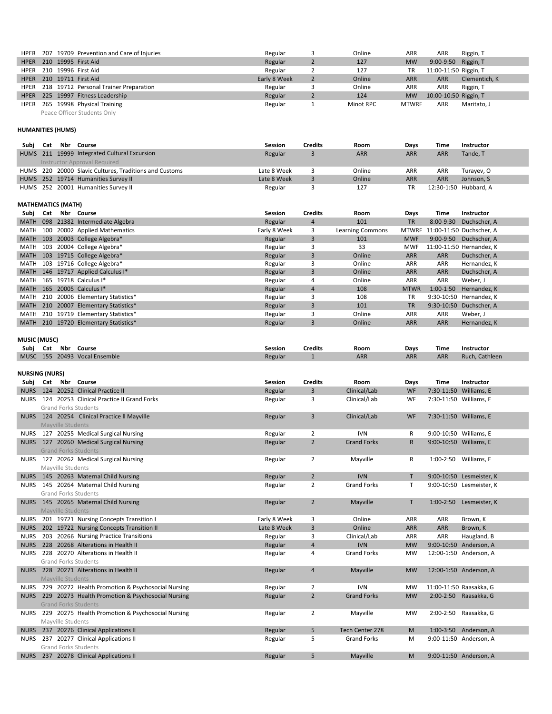| Subj        | Cat | Nbr | <b>Course</b>                         | <b>Session</b> | <b>Credits</b> | Room             | <b>Days</b> | Time        | <b>Instructor</b>              |
|-------------|-----|-----|---------------------------------------|----------------|----------------|------------------|-------------|-------------|--------------------------------|
| MATH        |     |     | 098 21382 Intermediate Algebra        | Regular        | 4              | 101              | <b>TR</b>   |             | 8:00-9:30 Duchscher, A         |
| MATH        |     |     | 100 20002 Applied Mathematics         | Early 8 Week   | 3              | Learning Commons |             |             | MTWRF 11:00-11:50 Duchscher, A |
| <b>MATH</b> |     |     | 103 20003 College Algebra*            | Regular        | 3              | 101              | <b>MWF</b>  |             | 9:00-9:50 Duchscher, A         |
|             |     |     | MATH 103 20004 College Algebra*       | Regular        | 3              | 33               | MWF         |             | 11:00-11:50 Hernandez, K       |
|             |     |     | MATH 103 19715 College Algebra*       | Regular        | 3              | Online           | <b>ARR</b>  | ARR         | Duchscher, A                   |
|             |     |     | MATH 103 19716 College Algebra*       | Regular        | 3              | Online           | <b>ARR</b>  | ARR         | Hernandez, K                   |
|             |     |     | MATH 146 19717 Applied Calculus I*    | Regular        | 3              | Online           | <b>ARR</b>  | ARR         | Duchscher, A                   |
|             |     |     | MATH 165 19718 Calculus I*            | Regular        | 4              | Online           | ARR         | ARR         | Weber, J                       |
|             |     |     | MATH 165 20005 Calculus I*            | Regular        | $\overline{4}$ | 108              | <b>MTWR</b> | $1:00-1:50$ | Hernandez, K                   |
|             |     |     | MATH 210 20006 Elementary Statistics* | Regular        | 3              | 108              | <b>TR</b>   |             | 9:30-10:50 Hernandez, K        |
|             |     |     | MATH 210 20007 Elementary Statistics* | Regular        | 3              | 101              | <b>TR</b>   |             | 9:30-10:50 Duchscher, A        |
|             |     |     | MATH 210 19719 Elementary Statistics* | Regular        | 3              | Online           | <b>ARR</b>  | ARR         | Weber, J                       |
|             |     |     | MATH 210 19720 Elementary Statistics* | Regular        | 3              | Online           | <b>ARR</b>  | ARR         | Hernandez, K                   |

| Subj<br>Nbr<br>Cat<br><b>Course</b>                  | Session | Credits | Room       | Davs       | <b>Time</b> | Instructor     |
|------------------------------------------------------|---------|---------|------------|------------|-------------|----------------|
| 20493<br><b>Vocal Ensemble</b><br><b>MUSC</b><br>155 | Regular |         | <b>ARR</b> | <b>ARR</b> | <b>ARR</b>  | Ruch, Cathleen |

|  | HPER 207 19709 Prevention and Care of Injuries | Regular      | Online    | ARR.         | ARR                   | Riggin, T     |
|--|------------------------------------------------|--------------|-----------|--------------|-----------------------|---------------|
|  | HPER 210 19995 First Aid                       | Regular      | 127       | <b>MW</b>    | $9:00 - 9:50$         | Riggin, T     |
|  | HPER 210 19996 First Aid                       | Regular      | 127       | TR           | 11:00-11:50 Riggin, T |               |
|  | HPER 210 19711 First Aid                       | Early 8 Week | Online    | <b>ARR</b>   | <b>ARR</b>            | Clementich, K |
|  | HPER 218 19712 Personal Trainer Preparation    | Regular      | Online    | ARR          | ARR                   | Riggin, T     |
|  | HPER 225 19997 Fitness Leadership              | Regular      | 124       | <b>MW</b>    | 10:00-10:50 Riggin, T |               |
|  | HPER 265 19998 Physical Training               | Regular      | Minot RPC | <b>MTWRF</b> | <b>ARR</b>            | Maritato, J   |
|  | Peace Officer Students Only                    |              |           |              |                       |               |

| Subi | Cat | Nbr Course                                             | <b>Session</b> | <b>Credits</b> | Room       | <b>Days</b> | Time       | <b>Instructor</b>     |
|------|-----|--------------------------------------------------------|----------------|----------------|------------|-------------|------------|-----------------------|
|      |     | HUMS 211 19999 Integrated Cultural Excursion           | Regular        |                | <b>ARR</b> | <b>ARR</b>  | <b>ARR</b> | Tande, T              |
|      |     | Instructor Approval Required                           |                |                |            |             |            |                       |
|      |     | HUMS 220 20000 Slavic Cultures, Traditions and Customs | Late 8 Week    |                | Online     | <b>ARR</b>  | ARR        | Turayev, O            |
|      |     | HUMS 252 19714 Humanities Survey II                    | Late 8 Week    |                | Online     | <b>ARR</b>  | <b>ARR</b> | Johnson, S            |
|      |     | HUMS 252 20001 Humanities Survey II                    | Regular        |                | 127        | TR          |            | 12:30-1:50 Hubbard, A |

|             | <b>NURSING (NURS)</b> |                   |                                                        |                |                         |                    |              |             |                          |  |  |
|-------------|-----------------------|-------------------|--------------------------------------------------------|----------------|-------------------------|--------------------|--------------|-------------|--------------------------|--|--|
| Subi        |                       |                   | Cat Nbr Course                                         | <b>Session</b> | <b>Credits</b>          | Room               | <b>Days</b>  | <b>Time</b> | <b>Instructor</b>        |  |  |
| <b>NURS</b> |                       |                   | 124 20252 Clinical Practice II                         | Regular        | 3                       | Clinical/Lab       | <b>WF</b>    |             | 7:30-11:50 Williams, E   |  |  |
| <b>NURS</b> |                       |                   | 124 20253 Clinical Practice II Grand Forks             | Regular        | 3                       | Clinical/Lab       | WF           |             | 7:30-11:50 Williams, E   |  |  |
|             |                       |                   | <b>Grand Forks Students</b>                            |                |                         |                    |              |             |                          |  |  |
|             |                       |                   | NURS 124 20254 Clinical Practice II Mayville           | Regular        | 3                       | Clinical/Lab       | WF           |             | 7:30-11:50 Williams, E   |  |  |
|             |                       | Mayville Students |                                                        |                |                         |                    |              |             |                          |  |  |
|             |                       |                   | NURS 127 20255 Medical Surgical Nursing                | Regular        | $\overline{2}$          | <b>IVN</b>         | R            |             | 9:00-10:50 Williams, E   |  |  |
|             |                       |                   | NURS 127 20260 Medical Surgical Nursing                | Regular        | $\overline{2}$          | <b>Grand Forks</b> | $\mathsf{R}$ |             | 9:00-10:50 Williams, E   |  |  |
|             |                       |                   | <b>Grand Forks Students</b>                            |                |                         |                    |              |             |                          |  |  |
|             |                       |                   | NURS 127 20262 Medical Surgical Nursing                | Regular        | $\overline{2}$          | Mayville           | R            |             | 1:00-2:50 Williams, E    |  |  |
|             |                       | Mayville Students |                                                        |                |                         |                    |              |             |                          |  |  |
|             |                       |                   | NURS 145 20263 Maternal Child Nursing                  | Regular        | $\overline{2}$          | <b>IVN</b>         | T.           |             | 9:00-10:50 Lesmeister, K |  |  |
| <b>NURS</b> |                       |                   | 145 20264 Maternal Child Nursing                       | Regular        | $2^{\circ}$             | <b>Grand Forks</b> | T            |             | 9:00-10:50 Lesmeister, K |  |  |
|             |                       |                   | <b>Grand Forks Students</b>                            |                |                         |                    |              |             |                          |  |  |
|             |                       |                   | NURS 145 20265 Maternal Child Nursing                  | Regular        | $\overline{2}$          | Mayville           | $\mathsf T$  | $1:00-2:50$ | Lesmeister, K            |  |  |
|             |                       | Mayville Students |                                                        |                |                         |                    |              |             |                          |  |  |
|             |                       |                   | NURS 201 19721 Nursing Concepts Transition I           | Early 8 Week   | 3                       | Online             | <b>ARR</b>   | <b>ARR</b>  | Brown, K                 |  |  |
|             |                       |                   | NURS 202 19722 Nursing Concepts Transition II          | Late 8 Week    | $\overline{3}$          | Online             | ARR          | <b>ARR</b>  | Brown, K                 |  |  |
| <b>NURS</b> |                       |                   | 203 20266 Nursing Practice Transitions                 | Regular        | 3                       | Clinical/Lab       | <b>ARR</b>   | <b>ARR</b>  | Haugland, B              |  |  |
| <b>NURS</b> |                       |                   | 228 20268 Alterations in Health II                     | Regular        | $\overline{\mathbf{4}}$ | <b>IVN</b>         | <b>MW</b>    |             | 9:00-10:50 Anderson, A   |  |  |
| <b>NURS</b> |                       |                   | 228 20270 Alterations in Health II                     | Regular        | 4                       | <b>Grand Forks</b> | <b>MW</b>    |             | 12:00-1:50 Anderson, A   |  |  |
|             |                       |                   | <b>Grand Forks Students</b>                            |                |                         |                    |              |             |                          |  |  |
|             |                       |                   | NURS 228 20271 Alterations in Health II                | Regular        | 4                       | Mayville           | <b>MW</b>    |             | 12:00-1:50 Anderson, A   |  |  |
|             |                       | Mayville Students |                                                        |                |                         |                    |              |             |                          |  |  |
| NURS        |                       |                   | 229 20272 Health Promotion & Psychosocial Nursing      | Regular        | $\overline{2}$          | <b>IVN</b>         | <b>MW</b>    |             | 11:00-11:50 Raasakka, G  |  |  |
|             |                       |                   | NURS 229 20273 Health Promotion & Psychosocial Nursing | Regular        | $2^{\circ}$             | <b>Grand Forks</b> | <b>MW</b>    |             | 2:00-2:50 Raasakka, G    |  |  |
|             |                       |                   | <b>Grand Forks Students</b>                            |                |                         |                    |              |             |                          |  |  |
|             |                       |                   | NURS 229 20275 Health Promotion & Psychosocial Nursing | Regular        | $\overline{2}$          | Mayville           | <b>MW</b>    |             | 2:00-2:50 Raasakka, G    |  |  |
|             |                       | Mayville Students |                                                        |                |                         |                    |              |             |                          |  |  |
|             |                       |                   | NURS 237 20276 Clinical Applications II                | Regular        | 5                       | Tech Center 278    | M            |             | 1:00-3:50 Anderson, A    |  |  |
|             |                       |                   | NURS 237 20277 Clinical Applications II                | Regular        | 5                       | <b>Grand Forks</b> | M            |             | 9:00-11:50 Anderson, A   |  |  |
|             |                       |                   | <b>Grand Forks Students</b>                            |                |                         |                    |              |             |                          |  |  |
|             |                       |                   | NURS 237 20278 Clinical Applications II                | Regular        | 5                       | Mayville           | M            |             | 9:00-11:50 Anderson, A   |  |  |

# **MUSIC (MUSC)**

## **MATHEMATICS (MATH)**

## **HUMANITIES (HUMS)**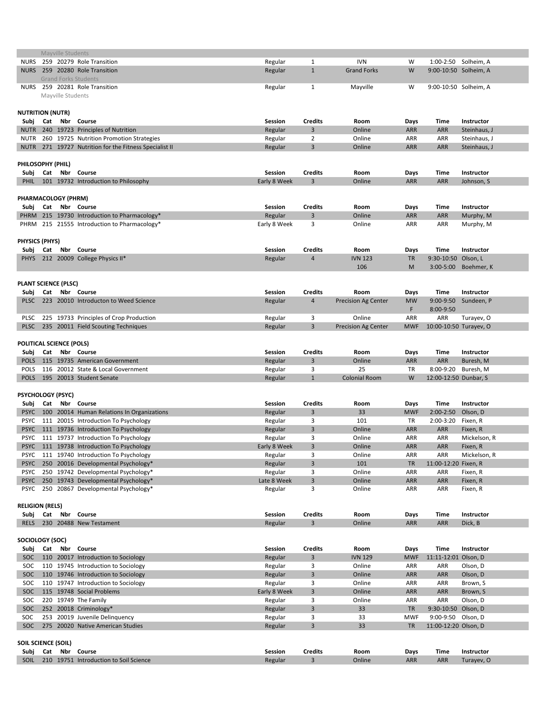| Mayville Students               |  |                   |                                                          |                |                |                            |                 |                            |                      |
|---------------------------------|--|-------------------|----------------------------------------------------------|----------------|----------------|----------------------------|-----------------|----------------------------|----------------------|
| <b>NURS</b>                     |  |                   | 259 20279 Role Transition                                | Regular        | 1              | <b>IVN</b>                 | W               |                            | 1:00-2:50 Solheim, A |
| <b>NURS</b>                     |  |                   | 259 20280 Role Transition<br><b>Grand Forks Students</b> | Regular        | $\mathbf{1}$   | <b>Grand Forks</b>         | W               | 9:00-10:50 Solheim, A      |                      |
| <b>NURS</b>                     |  | Mayville Students | 259 20281 Role Transition                                | Regular        | $\mathbf{1}$   | Mayville                   | W               | 9:00-10:50 Solheim, A      |                      |
| <b>NUTRITION (NUTR)</b>         |  |                   |                                                          |                |                |                            |                 |                            |                      |
| Subj                            |  | Cat Nbr           | Course                                                   | <b>Session</b> | <b>Credits</b> | <b>Room</b>                | Days            | <b>Time</b>                | <b>Instructor</b>    |
|                                 |  |                   | NUTR 240 19723 Principles of Nutrition                   | Regular        | 3              | Online                     | <b>ARR</b>      | <b>ARR</b>                 | Steinhaus, J         |
|                                 |  |                   | NUTR 260 19725 Nutrition Promotion Strategies            | Regular        | $\overline{2}$ | Online                     | <b>ARR</b>      | <b>ARR</b>                 | Steinhaus, J         |
|                                 |  |                   | NUTR 271 19727 Nutrition for the Fitness Specialist II   | Regular        | $\overline{3}$ | Online                     | ARR             | <b>ARR</b>                 | Steinhaus, J         |
| PHILOSOPHY (PHIL)               |  |                   |                                                          |                |                |                            |                 |                            |                      |
|                                 |  |                   | Subj Cat Nbr Course                                      | <b>Session</b> | <b>Credits</b> | Room                       | Days            | <b>Time</b>                | <b>Instructor</b>    |
|                                 |  |                   | PHIL 101 19732 Introduction to Philosophy                | Early 8 Week   | 3              | Online                     | <b>ARR</b>      | <b>ARR</b>                 | Johnson, S           |
| <b>PHARMACOLOGY (PHRM)</b>      |  |                   |                                                          |                |                |                            |                 |                            |                      |
|                                 |  |                   | Subj Cat Nbr Course                                      | Session        | <b>Credits</b> | Room                       | Days            | <b>Time</b>                | Instructor           |
|                                 |  |                   | PHRM 215 19730 Introduction to Pharmacology*             | Regular        | $\overline{3}$ | Online                     | <b>ARR</b>      | <b>ARR</b>                 | Murphy, M            |
|                                 |  |                   | PHRM 215 21555 Introduction to Pharmacology*             | Early 8 Week   | 3              | Online                     | <b>ARR</b>      | ARR                        | Murphy, M            |
|                                 |  |                   |                                                          |                |                |                            |                 |                            |                      |
| <b>PHYSICS (PHYS)</b>           |  |                   |                                                          |                |                |                            |                 |                            |                      |
|                                 |  |                   | Subj Cat Nbr Course                                      | <b>Session</b> | <b>Credits</b> | Room                       | Days            | <b>Time</b>                | Instructor           |
| <b>PHYS</b>                     |  |                   | 212 20009 College Physics II*                            | Regular        | 4              | <b>IVN 123</b>             | <b>TR</b>       | 9:30-10:50 Olson, L        |                      |
|                                 |  |                   |                                                          |                |                | 106                        | M               |                            | 3:00-5:00 Boehmer, K |
| <b>PLANT SCIENCE (PLSC)</b>     |  |                   |                                                          |                |                |                            |                 |                            |                      |
|                                 |  |                   | Cat Nbr Course                                           | <b>Session</b> | <b>Credits</b> | Room                       |                 | <b>Time</b>                | <b>Instructor</b>    |
| Subj                            |  |                   | PLSC 223 20010 Introducton to Weed Science               |                |                |                            | Days            |                            |                      |
|                                 |  |                   |                                                          | Regular        | 4              | <b>Precision Ag Center</b> | <b>MW</b><br>F. | 9:00-9:50<br>8:00-9:50     | Sundeen, P           |
|                                 |  |                   | PLSC 225 19733 Principles of Crop Production             | Regular        | 3              | Online                     | ARR             |                            | ARR Turayev, O       |
|                                 |  |                   | PLSC 235 20011 Field Scouting Techniques                 | Regular        | $\mathbf{3}$   | <b>Precision Ag Center</b> |                 | MWF 10:00-10:50 Turayev, O |                      |
| <b>POLITICAL SCIENCE (POLS)</b> |  |                   |                                                          |                |                |                            |                 |                            |                      |
|                                 |  |                   | Subj Cat Nbr Course                                      | <b>Session</b> | <b>Credits</b> | Room                       | Days            | <b>Time</b>                | Instructor           |
|                                 |  |                   | POLS 115 19735 American Government                       | Regular        | 3              | Online                     | <b>ARR</b>      | ARR                        | Buresh, M            |
| <b>POLS</b>                     |  |                   | 116 20012 State & Local Government                       | Regular        | 3              | 25                         | <b>TR</b>       | 8:00-9:20 Buresh, M        |                      |
|                                 |  |                   | POLS 195 20013 Student Senate                            | Regular        | $\mathbf{1}$   | <b>Colonial Room</b>       | W               | 12:00-12:50 Dunbar, S      |                      |
| <b>PSYCHOLOGY (PSYC)</b>        |  |                   |                                                          |                |                |                            |                 |                            |                      |
|                                 |  |                   | Subj Cat Nbr Course                                      | <b>Session</b> | <b>Credits</b> | Room                       | Days            | <b>Time</b>                | Instructor           |
|                                 |  |                   | PSYC 100 20014 Human Relations In Organizations          | Regular        | 3              | 33                         | <b>MWF</b>      | $2:00-2:50$                | Olson, D             |
|                                 |  |                   | PSYC 111 20015 Introduction To Psychology                | Regular        | 3              | 101                        | <b>TR</b>       | 2:00-3:20                  | Fixen, R             |
|                                 |  |                   | PSYC 111 19736 Introduction To Psychology                | Regular        | $\mathbf{3}$   | Online                     | <b>ARR</b>      | <b>ARR</b>                 | Fixen, R             |
|                                 |  |                   | PSYC 111 19737 Introduction To Psychology                | Regular        | 3              | Online                     | <b>ARR</b>      | ARR                        | Mickelson, R         |
|                                 |  |                   | PSYC 111 19738 Introduction To Psychology                | Early 8 Week   | 3              | Online                     | <b>ARR</b>      | <b>ARR</b>                 | Fixen, R             |
|                                 |  |                   | PSYC 111 19740 Introduction To Psychology                | Regular        | 3              | Online                     | ARR             | ARR                        | Mickelson, R         |
|                                 |  |                   | PSYC 250 20016 Developmental Psychology*                 | Regular        | $\overline{3}$ | 101                        | <b>TR</b>       | 11:00-12:20 Fixen, R       |                      |
|                                 |  |                   | PSYC 250 19742 Developmental Psychology*                 | Regular        | 3              | Online                     | <b>ARR</b>      | ARR                        | Fixen, R             |
|                                 |  |                   | PSYC 250 19743 Developmental Psychology*                 | Late 8 Week    | $\overline{3}$ | Online                     | <b>ARR</b>      | <b>ARR</b>                 | Fixen, R             |
|                                 |  |                   | PSYC 250 20867 Developmental Psychology*                 |                | 3              | Online                     | ARR             | <b>ARR</b>                 |                      |
|                                 |  |                   |                                                          | Regular        |                |                            |                 |                            | Fixen, R             |
| <b>RELIGION (RELS)</b>          |  |                   |                                                          |                |                |                            |                 |                            |                      |
|                                 |  |                   | Subj Cat Nbr Course                                      | <b>Session</b> | <b>Credits</b> | Room                       | Days            | <b>Time</b>                | Instructor           |
| <b>RELS</b>                     |  |                   | 230 20488 New Testament                                  | Regular        | $\mathbf{3}$   | Online                     | <b>ARR</b>      | <b>ARR</b>                 | Dick, B              |

| Subj                       | Cat |     | Nbr Course                          | <b>Session</b> | <b>Credits</b> | Room           | <b>Days</b> | Time                 | <b>Instructor</b> |
|----------------------------|-----|-----|-------------------------------------|----------------|----------------|----------------|-------------|----------------------|-------------------|
| SOC                        |     |     | 110 20017 Introduction to Sociology | Regular        | 3              | <b>IVN 129</b> | <b>MWF</b>  | 11:11-12:01 Olson, D |                   |
| SOC.                       |     |     | 110 19745 Introduction to Sociology | Regular        |                | Online         | ARR.        | ARR                  | Olson, D          |
| SOC                        |     |     | 110 19746 Introduction to Sociology | Regular        | 3              | Online         | <b>ARR</b>  | <b>ARR</b>           | Olson, D          |
| SOC.                       |     |     | 110 19747 Introduction to Sociology | Regular        | 3              | Online         | <b>ARR</b>  | ARR                  | Brown, S          |
| SOC.                       |     |     | 115 19748 Social Problems           | Early 8 Week   | 3              | Online         | <b>ARR</b>  | <b>ARR</b>           | Brown, S          |
| SOC.                       |     |     | 220 19749 The Family                | Regular        |                | Online         | <b>ARR</b>  | <b>ARR</b>           | Olson, D          |
| SOC.                       |     |     | 252 20018 Criminology*              | Regular        | 3              | 33             | TR          | 9:30-10:50 Olson, D  |                   |
| SOC.                       | 253 |     | 20019 Juvenile Delinguency          | Regular        |                | 33             | <b>MWF</b>  | 9:00-9:50 Olson, D   |                   |
| SOC.                       |     |     | 275 20020 Native American Studies   | Regular        | 3              | 33             | TR          | 11:00-12:20 Olson, D |                   |
|                            |     |     |                                     |                |                |                |             |                      |                   |
| <b>SOIL SCIENCE (SOIL)</b> |     |     |                                     |                |                |                |             |                      |                   |
| Subj                       | Cat | Nbr | Course                              | <b>Session</b> | <b>Credits</b> | Room           | Days        | Time                 | <b>Instructor</b> |
| <b>SOIL</b>                | 210 |     | 19751 Introduction to Soil Science  | Regular        |                | Online         | <b>ARR</b>  | <b>ARR</b>           | Turayev, O        |